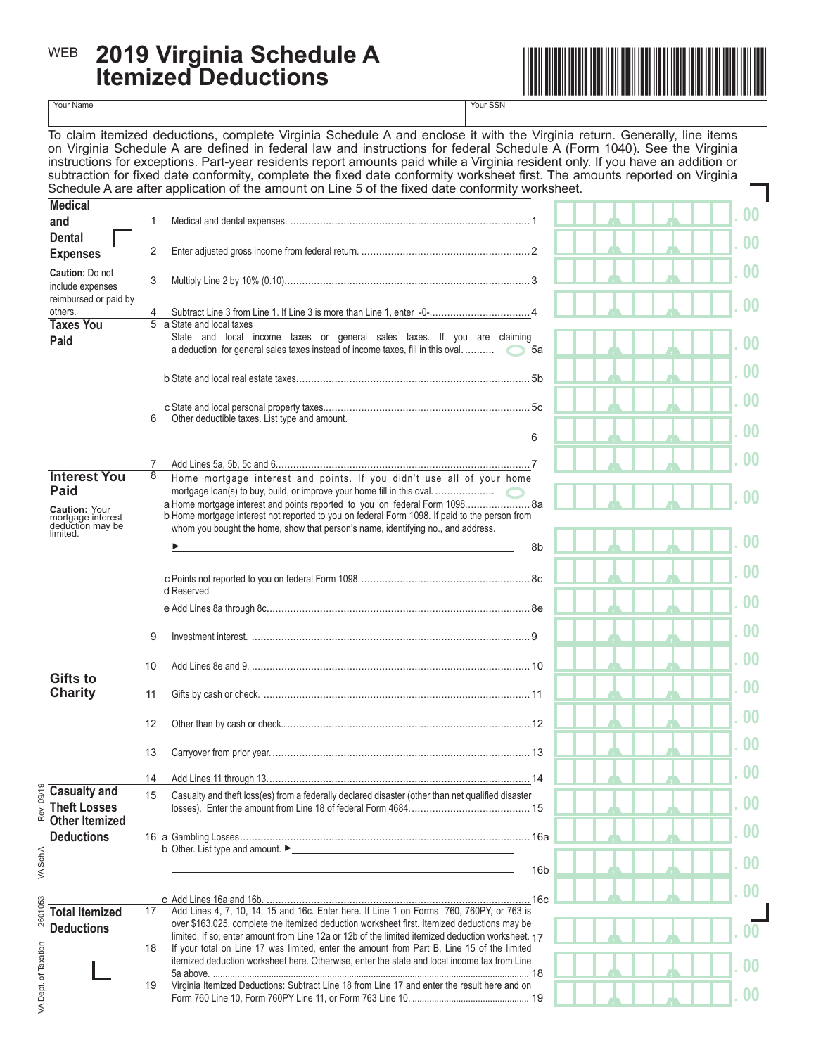## **2019 Virginia Schedule A** <sup>WEB</sup> 2019 Virginia Schedule A **International Medicine Medicine Medicine** Medicine Medicine Medicine Medicine Medicine Medicine Medicine Medicine Medicine Medicine Medicine Medicine Medicine Medicine Medicine Medicine Medi



Your Name Your SSN

To claim itemized deductions, complete Virginia Schedule A and enclose it with the Virginia return. Generally, line items on Virginia Schedule A are defined in federal law and instructions for federal Schedule A (Form 1040). See the Virginia instructions for exceptions. Part-year residents report amounts paid while a Virginia resident only. If you have an addition or subtraction for fixed date conformity, complete the fixed date conformity worksheet first. The amounts reported on Virginia Schedule A are after application of the amount on Line 5 of the fixed date conformity worksheet.

| <b>Medical</b>                                                                               |    |                                                                                                                                                                                                                                                                                                                                           |                 | 0 <sub>0</sub>         |
|----------------------------------------------------------------------------------------------|----|-------------------------------------------------------------------------------------------------------------------------------------------------------------------------------------------------------------------------------------------------------------------------------------------------------------------------------------------|-----------------|------------------------|
| and                                                                                          |    |                                                                                                                                                                                                                                                                                                                                           |                 |                        |
| <b>Dental</b><br><b>Expenses</b>                                                             | 2  |                                                                                                                                                                                                                                                                                                                                           |                 | 00                     |
| <b>Caution: Do not</b><br>include expenses                                                   | 3  |                                                                                                                                                                                                                                                                                                                                           |                 | 0 <sup>0</sup>         |
| reimbursed or paid by<br>others.                                                             | 4  |                                                                                                                                                                                                                                                                                                                                           |                 | 0 <sup>0</sup>         |
| <b>Taxes You</b><br>Paid                                                                     |    | 5 a State and local taxes<br>State and local income taxes or general sales taxes. If you are claiming<br>a deduction for general sales taxes instead of income taxes, fill in this oval                                                                                                                                                   | 5a              | 0 <sub>0</sub>         |
|                                                                                              |    |                                                                                                                                                                                                                                                                                                                                           |                 | 0 <sub>0</sub>         |
|                                                                                              | 6  | Other deductible taxes. List type and amount. __________________________________                                                                                                                                                                                                                                                          | 6               | . 00<br>0 <sup>0</sup> |
|                                                                                              |    |                                                                                                                                                                                                                                                                                                                                           |                 | 0 <sub>0</sub>         |
| <b>Interest You</b><br>Paid<br><b>Caution: Your</b><br>mortgage interest<br>deduction may be | 8  | Home mortgage interest and points. If you didn't use all of your home<br>a Home mortgage interest and points reported to you on federal Form 1098 8a<br>b Home mortgage interest not reported to you on federal Form 1098. If paid to the person from<br>whom you bought the home, show that person's name, identifying no., and address. |                 | 0 <sup>0</sup>         |
| limited.                                                                                     |    |                                                                                                                                                                                                                                                                                                                                           | 8b              | 0 <sup>0</sup>         |
|                                                                                              |    | d Reserved                                                                                                                                                                                                                                                                                                                                |                 | $\bf{00}$              |
|                                                                                              |    |                                                                                                                                                                                                                                                                                                                                           |                 | $\bf{00}$              |
|                                                                                              | 9  |                                                                                                                                                                                                                                                                                                                                           |                 | 0 <sub>0</sub>         |
|                                                                                              | 10 |                                                                                                                                                                                                                                                                                                                                           |                 | .00                    |
| <b>Gifts to</b><br><b>Charity</b>                                                            | 11 |                                                                                                                                                                                                                                                                                                                                           |                 | 0 <sub>0</sub>         |
|                                                                                              | 12 |                                                                                                                                                                                                                                                                                                                                           |                 | . 00                   |
|                                                                                              | 13 |                                                                                                                                                                                                                                                                                                                                           |                 | . 00                   |
| 9/19<br><b>Casualty and</b>                                                                  | 14 |                                                                                                                                                                                                                                                                                                                                           |                 | . 00                   |
| <b>Theft Losses</b><br>Rev.                                                                  | 15 | Casualty and theft loss(es) from a federally declared disaster (other than net qualified disaster                                                                                                                                                                                                                                         |                 | 00                     |
| <b>Other Itemized</b><br><b>Deductions</b>                                                   |    | b Other. List type and amount. ►                                                                                                                                                                                                                                                                                                          |                 | 0 <sub>0</sub>         |
| VA Sch A                                                                                     |    |                                                                                                                                                                                                                                                                                                                                           | 16 <sub>b</sub> | 0 <sub>0</sub>         |
| 2601053<br><b>Total Itemized</b>                                                             | 17 |                                                                                                                                                                                                                                                                                                                                           |                 | 0 <sub>0</sub>         |
| <b>Deductions</b>                                                                            | 18 | over \$163,025, complete the itemized deduction worksheet first. Itemized deductions may be<br>limited. If so, enter amount from Line 12a or 12b of the limited itemized deduction worksheet. 17<br>If your total on Line 17 was limited, enter the amount from Part B, Line 15 of the limited                                            |                 | $00\,$                 |
| VA Dept. of Taxation                                                                         |    | itemized deduction worksheet here. Otherwise, enter the state and local income tax from Line                                                                                                                                                                                                                                              |                 | 0 <sup>0</sup>         |
|                                                                                              | 19 | Virginia Itemized Deductions: Subtract Line 18 from Line 17 and enter the result here and on                                                                                                                                                                                                                                              |                 | 0 <sup>0</sup>         |